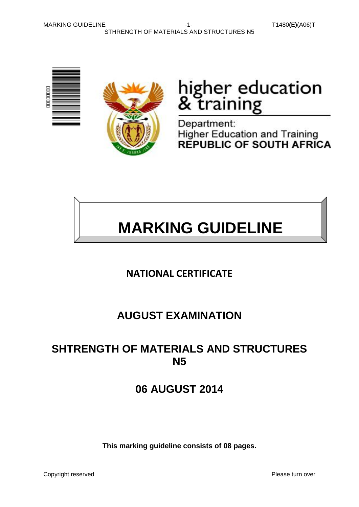MARKING GUIDELINE -1- T1480**(E)**(A06)T STHRENGTH OF MATERIALS AND STRUCTURES N5





# higher education<br>& training

Department: **Higher Education and Training** REPUBLIC OF SOUTH AFRICA



## **NATIONAL CERTIFICATE**

## **AUGUST EXAMINATION**

## **SHTRENGTH OF MATERIALS AND STRUCTURES N5**

## **06 AUGUST 2014**

**This marking guideline consists of 08 pages.**

Copyright reserved **Please turn over the Copyright reserved** Please turn over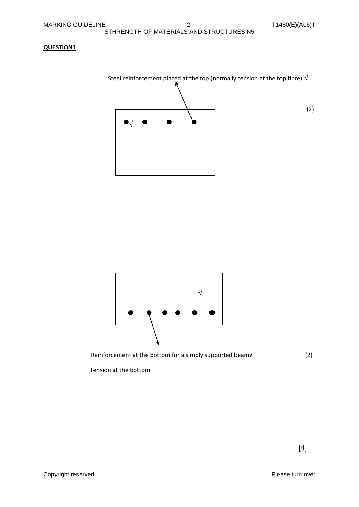#### STHRENGTH OF MATERIALS AND STRUCTURES N5

#### **QUESTION1**





Reinforcement at the bottom for a simply supported beam√ (2)

Tension at the bottom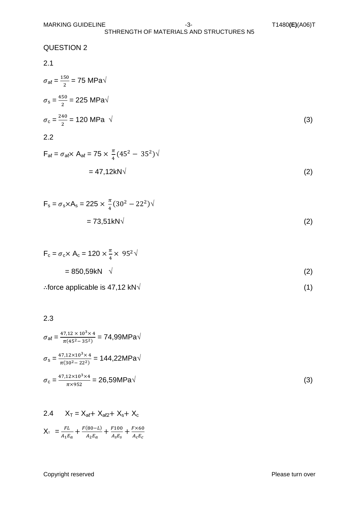#### STHRENGTH OF MATERIALS AND STRUCTURES N5

QUESTION 2

$$
2.1 \\
$$

$$
\sigma_{a\ell} = \frac{150}{2} = 75 \text{ MPa} \sqrt{\sigma_s = \frac{450}{2}} = 225 \text{ MPa} \sqrt{\sigma_c = \frac{240}{2}} = 120 \text{ MPa} \sqrt{\tag{3}}
$$

$$
2.2 \\
$$

$$
F_{al} = \sigma_{al} \times A_{al} = 75 \times \frac{\pi}{4} (45^2 - 35^2) \sqrt{}
$$
  
= 47,12kN $\sqrt{}$  (2)

$$
F_s = \sigma_s \times A_s = 225 \times \frac{\pi}{4} (30^2 - 22^2) \sqrt{}
$$
  
= 73,51kN $\sqrt{}$  (2)

$$
F_c = \sigma_c \times A_c = 120 \times \frac{\pi}{4} \times 95^2 \sqrt{ }
$$
  
= 850,59kN \sqrt{2} (2)

∴force applicable is 47,12 kN $\sqrt{ }$  (1)

#### 2.3

$$
\sigma_{al} = \frac{47,12 \times 10^3 \times 4}{\pi (45^2 - 35^2)} = 74,99 MPa\sqrt{\sigma_s} = \frac{47,12 \times 10^3 \times 4}{\pi (30^2 - 22^2)} = 144,22 MPa\sqrt{\sigma_c} = \frac{47,12 \times 10^3 \times 4}{\pi \times 952} = 26,59 MPa\sqrt{\qquad (3)}
$$

2.4 
$$
X_T = X_{al} + X_{al2} + X_s + X_c
$$
  

$$
X_T = \frac{FL}{A_1E_a} + \frac{F(80 - L)}{A_2E_a} + \frac{F100}{A_sE_s} + \frac{F \times 60}{A_cE_c}
$$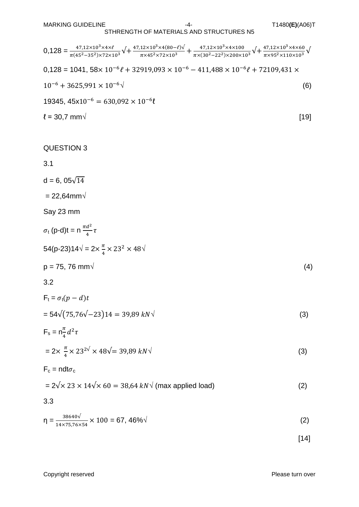MARKING GUIDELINE -4- T1480**(E)**(A06)T

#### STHRENGTH OF MATERIALS AND STRUCTURES N5

| $0.128 = \frac{47,12\times10^{3}\times4\times\ell}{\pi(45^{2}-35^{2})\times72\times10^{3}}\sqrt{1+\frac{47,12\times10^{3}\times4(80-\ell)\sqrt{147}}{\pi\times45^{2}\times72\times10^{3}}+\frac{47,12\times10^{3}\times4\times100}{\pi\times(30^{2}-22^{2})\times200\times10^{3}}}\sqrt{1+\frac{47,12\times10^{3}\times4\times60}{\pi\times95^{2}\times110\times10^{3}}}\sqrt{1+\frac{47,12\times10^{3}\times$ |        |
|----------------------------------------------------------------------------------------------------------------------------------------------------------------------------------------------------------------------------------------------------------------------------------------------------------------------------------------------------------------------------------------------------------------|--------|
| $0,128 = 1041, 58 \times 10^{-6} \ell + 32919,093 \times 10^{-6} - 411,488 \times 10^{-6} \ell + 72109,431 \times$                                                                                                                                                                                                                                                                                             |        |
| $10^{-6} + 3625,991 \times 10^{-6} \sqrt{ }$                                                                                                                                                                                                                                                                                                                                                                   | (6)    |
| 19345, $45x10^{-6} = 630,092 \times 10^{-6}$                                                                                                                                                                                                                                                                                                                                                                   |        |
| $\ell = 30.7$ mm $\sqrt$                                                                                                                                                                                                                                                                                                                                                                                       | $[19]$ |
|                                                                                                                                                                                                                                                                                                                                                                                                                |        |
| <b>QUESTION 3</b>                                                                                                                                                                                                                                                                                                                                                                                              |        |
| 3.1                                                                                                                                                                                                                                                                                                                                                                                                            |        |
| $d = 6, 05\sqrt{14}$                                                                                                                                                                                                                                                                                                                                                                                           |        |
| $= 22,64$ mm $\sqrt{ }$                                                                                                                                                                                                                                                                                                                                                                                        |        |
| Say 23 mm                                                                                                                                                                                                                                                                                                                                                                                                      |        |
| $\sigma_t$ (p-d)t = n $\frac{\pi d^2}{4} \tau$                                                                                                                                                                                                                                                                                                                                                                 |        |
| 54(p-23)14 $\sqrt{} = 2 \times \frac{\pi}{4} \times 23^2 \times 48 \sqrt{}$                                                                                                                                                                                                                                                                                                                                    |        |
| $p = 75, 76$ mm $\sqrt{ }$                                                                                                                                                                                                                                                                                                                                                                                     | (4)    |
| 3.2                                                                                                                                                                                                                                                                                                                                                                                                            |        |
| $F_t = \sigma_t(p-d)t$                                                                                                                                                                                                                                                                                                                                                                                         |        |
| $= 54\sqrt{(75.76\sqrt{-23})14} = 39.89 kN\sqrt{25}$                                                                                                                                                                                                                                                                                                                                                           | (3)    |
| $F_s = n \frac{\pi}{4} d^2 \tau$                                                                                                                                                                                                                                                                                                                                                                               |        |
| $= 2 \times \frac{\pi}{4} \times 23^{2\sqrt{}} \times 48\sqrt{ } = 39,89$ kN $\sqrt{ }$                                                                                                                                                                                                                                                                                                                        | (3)    |
| $F_c = ndt\sigma_c$                                                                                                                                                                                                                                                                                                                                                                                            |        |
| $= 2\sqrt{\times} 23 \times 14\sqrt{\times} 60 = 38,64$ kN $\sqrt{\times}$ (max applied load)                                                                                                                                                                                                                                                                                                                  | (2)    |
| 3.3                                                                                                                                                                                                                                                                                                                                                                                                            |        |
| $\eta = \frac{38640\sqrt{3}}{14 \times 75.76 \times 54} \times 100 = 67,46\%$                                                                                                                                                                                                                                                                                                                                  | (2)    |
|                                                                                                                                                                                                                                                                                                                                                                                                                | $[14]$ |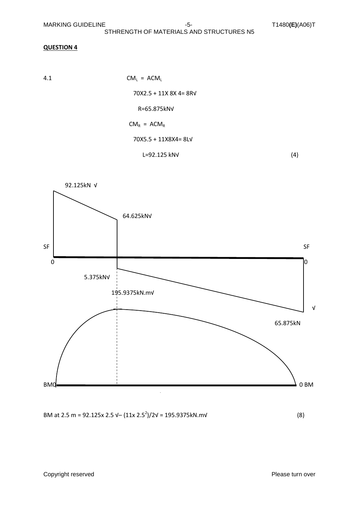#### STHRENGTH OF MATERIALS AND STRUCTURES N5

#### **QUESTION 4**

$$
CM_{L} = ACM_{L}
$$
  
\n
$$
70X2.5 + 11X 8X 4 = 8RV
$$
  
\n
$$
R=65.875kNV
$$
  
\n
$$
CM_{R} = ACM_{R}
$$
  
\n
$$
70X5.5 + 11X8X4 = 8LV
$$
  
\n
$$
L=92.125 kNV
$$
 (4)



BM at 2.5 m = 92.125x 2.5  $\sqrt{-(11x \cdot 2.5^2)/2}$  $\sqrt{2} = 195.9375$ kN.m $\sqrt{9}$  (8)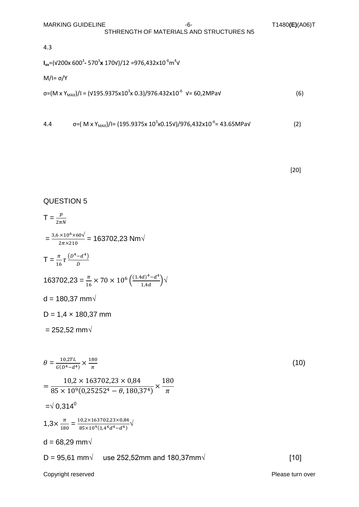4.3

$$
I_{xx}
$$
=( $\sqrt{200x\ 600^3}$ - 570<sup>3</sup>**x** 170 $\sqrt{12}$  =976,432 $x10^{-6}$ m<sup>4</sup> $\sqrt{100}$ 

$$
M/I=\sigma/Y
$$

$$
\sigma = (M \times Y_{\text{MAX}})/I = (V195.9375 \times 10^3 \times 0.3)/976.432 \times 10^{-6} \text{ V} = 60,2 \text{MPaV}
$$
 (6)

4.4 
$$
\sigma = (M \times Y_{MAX})/I = (195.9375 \times 10^3 \times 0.15 \times 10^9) / 976,432 \times 10^{-6} = 43.65 \text{MPa} \tag{2}
$$

[20]

### Copyright reserved **Please turn over the Copyright reserved** Please turn over QUESTION 5  $T = \frac{1}{2}$  $=\frac{3,6\times10^6}{3}$  $\frac{100 \times 10^{10}}{2\pi \times 210}$  = 163702,23 Nm $\sqrt{ }$  $T = \frac{\pi}{16} \tau \frac{\left(D^4 - d^4\right)}{D}$ D 163702,23 =  $\frac{\pi}{16}$  × 70 × 10<sup>6</sup>  $\left(\frac{(1.4d)^4 - d^4}{1.4d}\right)$  $\frac{a_1 - a}{1, 4d}$   $\bigvee$  $d = 180,37$  mm $\sqrt{ }$  $D = 1,4 \times 180,37$  mm  $= 252,52$  mm√  $\theta=\frac{1}{c}$  $\frac{10,2TL}{G(D^4-d^4)} \times \frac{1}{2}$  $\pi$  $(10)$  $=$  $\mathbf{1}$  $\frac{13}{10^{9}(0.25252^{4} - \theta, 180.37^{4})} \times$  $\mathbf{1}$  $\pi$  $=$  $\sqrt{0.314^0}$  $1,3 \times \frac{\pi}{10}$  $\frac{\pi}{180} = \frac{1}{8}$  $\frac{10,2\times103}{10^{9}(1,4^{4}d^{4}-d^{4})}$  $d = 68,29$  mm $\sqrt{ }$  $D = 95,61$  mm√ use 252,52mm and 180,37mm√ [10]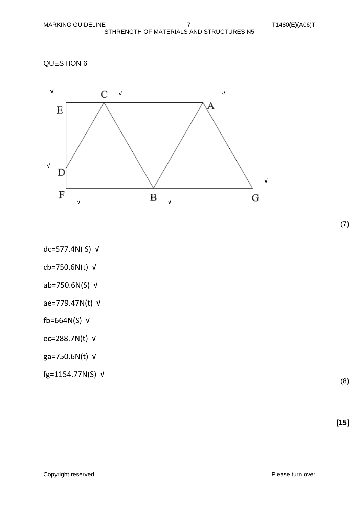QUESTION 6



- dc=577.4N( S) √
- cb=750.6N(t) √
- ab=750.6N(S) √
- ae=779.47N(t) √
- fb=664N(S) √
- ec=288.7N(t) √
- ga=750.6N(t) √
- fg=1154.77N(S) √

(8)